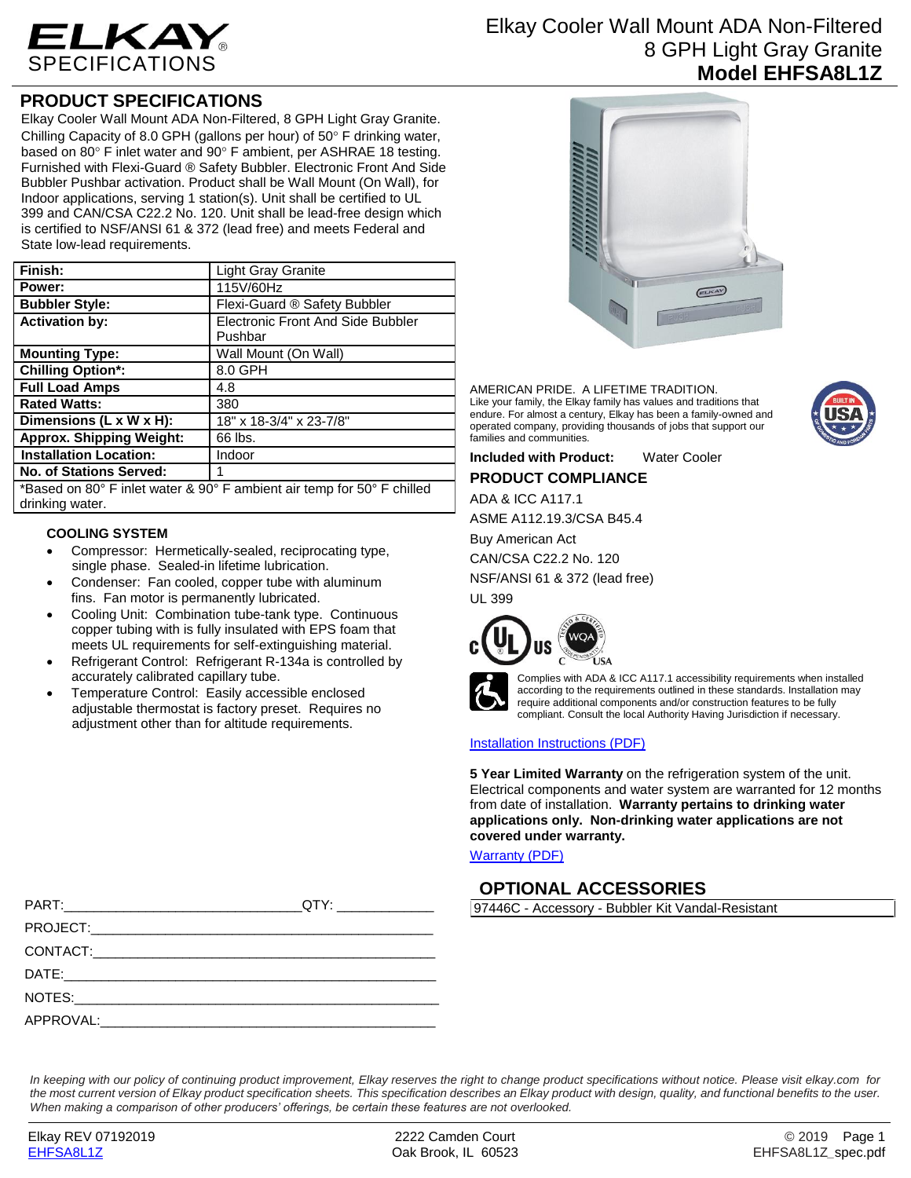

# **PRODUCT SPECIFICATIONS**

Elkay Cooler Wall Mount ADA Non-Filtered, 8 GPH Light Gray Granite. Chilling Capacity of 8.0 GPH (gallons per hour) of 50 $\degree$  F drinking water, based on 80 $^{\circ}$  F inlet water and 90 $^{\circ}$  F ambient, per ASHRAE 18 testing. Furnished with Flexi-Guard ® Safety Bubbler. Electronic Front And Side Bubbler Pushbar activation. Product shall be Wall Mount (On Wall), for Indoor applications, serving 1 station(s). Unit shall be certified to UL 399 and CAN/CSA C22.2 No. 120. Unit shall be lead-free design which is certified to NSF/ANSI 61 & 372 (lead free) and meets Federal and State low-lead requirements.

| Finish:                         | Light Gray Granite                           |
|---------------------------------|----------------------------------------------|
| Power:                          | 115V/60Hz                                    |
| <b>Bubbler Style:</b>           | Flexi-Guard ® Safety Bubbler                 |
| <b>Activation by:</b>           | Electronic Front And Side Bubbler<br>Pushbar |
| <b>Mounting Type:</b>           | Wall Mount (On Wall)                         |
| <b>Chilling Option*:</b>        | 8.0 GPH                                      |
| <b>Full Load Amps</b>           | 4.8                                          |
| <b>Rated Watts:</b>             | 380                                          |
| Dimensions (L x W x H):         | 18" x 18-3/4" x 23-7/8"                      |
| <b>Approx. Shipping Weight:</b> | 66 lbs.                                      |
| <b>Installation Location:</b>   | Indoor                                       |
| <b>No. of Stations Served:</b>  |                                              |
|                                 |                                              |

\*Based on 80° F inlet water & 90° F ambient air temp for 50° F chilled drinking water.

## **COOLING SYSTEM**

- Compressor: Hermetically-sealed, reciprocating type, single phase. Sealed-in lifetime lubrication.
- Condenser: Fan cooled, copper tube with aluminum fins. Fan motor is permanently lubricated.
- Cooling Unit: Combination tube-tank type. Continuous copper tubing with is fully insulated with EPS foam that meets UL requirements for self-extinguishing material.
- Refrigerant Control: Refrigerant R-134a is controlled by accurately calibrated capillary tube.
- Temperature Control: Easily accessible enclosed adjustable thermostat is factory preset. Requires no adjustment other than for altitude requirements.

Elkay Cooler Wall Mount ADA Non-Filtered 8 GPH Light Gray Granite **Model EHFSA8L1Z**



AMERICAN PRIDE. A LIFETIME TRADITION. Like your family, the Elkay family has values and traditions that endure. For almost a century, Elkay has been a family-owned and operated company, providing thousands of jobs that support our families and communities.

**Included with Product:** Water Cooler

**PRODUCT COMPLIANCE**

ADA & ICC A117.1

ASME A112.19.3/CSA B45.4

Buy American Act

CAN/CSA C22.2 No. 120

NSF/ANSI 61 & 372 (lead free)

UL 399





Complies with ADA & ICC A117.1 accessibility requirements when installed according to the requirements outlined in these standards. Installation may require additional components and/or construction features to be fully compliant. Consult the local Authority Having Jurisdiction if necessary.

### [Installation Instructions \(PDF\)](http://www.elkay.com/wcsstore/lkdocs/care-cleaning-install-warranty-sheets/0000000971.pdf)

**5 Year Limited Warranty** on the refrigeration system of the unit. Electrical components and water system are warranted for 12 months from date of installation. **Warranty pertains to drinking water applications only. Non-drinking water applications are not covered under warranty.**

[Warranty](http://www.elkay.com/wcsstore/lkdocs/care-cleaning-install-warranty-sheets/96993c.pdf) (PDF)

# **OPTIONAL ACCESSORIES**

97446C - Accessory - Bubbler Kit Vandal-Resistant

| QTY: _______________ |
|----------------------|
|                      |
|                      |
|                      |
|                      |
|                      |

*In keeping with our policy of continuing product improvement, Elkay reserves the right to change product specifications without notice. Please visit elkay.com for the most current version of Elkay product specification sheets. This specification describes an Elkay product with design, quality, and functional benefits to the user. When making a comparison of other producers' offerings, be certain these features are not overlooked.*